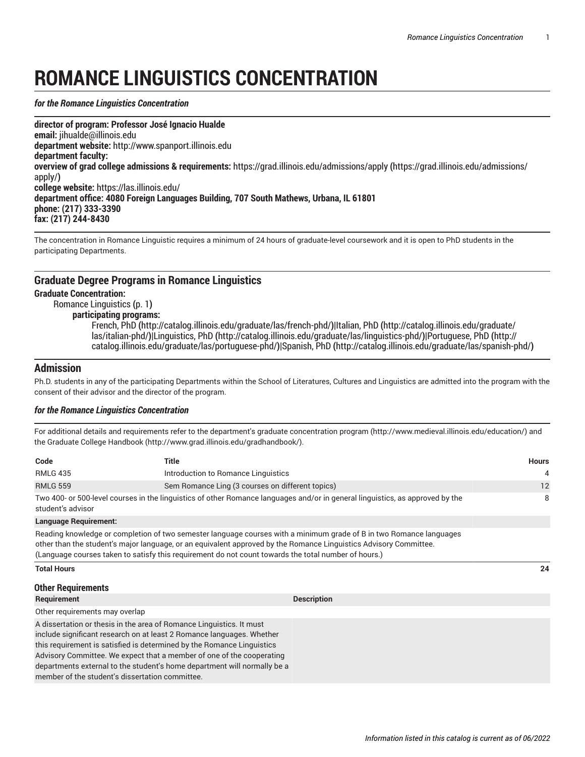# **ROMANCE LINGUISTICS CONCENTRATION**

#### <span id="page-0-0"></span>*for the Romance Linguistics Concentration*

**director of program: Professor José Ignacio Hualde email:** [jihualde@illinois.edu](mailto:jihualde@illinois.edu) **department website:** <http://www.spanport.illinois.edu> **department faculty: overview of grad college admissions & requirements:** [https://grad.illinois.edu/admissions/apply](https://grad.illinois.edu/admissions/apply/) **(**[https://grad.illinois.edu/admissions/](https://grad.illinois.edu/admissions/apply/) [apply/](https://grad.illinois.edu/admissions/apply/)**) college website:** <https://las.illinois.edu/> **department office: 4080 Foreign Languages Building, 707 South Mathews, Urbana, IL 61801 phone: (217) 333-3390 fax: (217) 244-8430** 

The concentration in Romance Linguistic requires a minimum of 24 hours of graduate-level coursework and it is open to PhD students in the participating Departments.

## **Graduate Degree Programs in Romance Linguistics**

### **Graduate Concentration:**

[Romance Linguistics](#page-0-0) **(**[p. 1](#page-0-0)**)**

## **participating programs:**

[French,](http://catalog.illinois.edu/graduate/las/french-phd/) PhD **(**<http://catalog.illinois.edu/graduate/las/french-phd/>**)|**[Italian, PhD](http://catalog.illinois.edu/graduate/las/italian-phd/) **(**[http://catalog.illinois.edu/graduate/](http://catalog.illinois.edu/graduate/las/italian-phd/) [las/italian-phd/](http://catalog.illinois.edu/graduate/las/italian-phd/)**)|**[Linguistics, PhD](http://catalog.illinois.edu/graduate/las/linguistics-phd/) **(**<http://catalog.illinois.edu/graduate/las/linguistics-phd/>**)|**[Portuguese,](http://catalog.illinois.edu/graduate/las/portuguese-phd/) PhD **(**[http://](http://catalog.illinois.edu/graduate/las/portuguese-phd/) [catalog.illinois.edu/graduate/las/portuguese-phd/](http://catalog.illinois.edu/graduate/las/portuguese-phd/)**)|**[Spanish, PhD](http://catalog.illinois.edu/graduate/las/spanish-phd/) **(**<http://catalog.illinois.edu/graduate/las/spanish-phd/>**)**

# **Admission**

Ph.D. students in any of the participating Departments within the School of Literatures, Cultures and Linguistics are admitted into the program with the consent of their advisor and the director of the program.

#### *for the Romance Linguistics Concentration*

For additional details and requirements refer to the department's graduate [concentration](http://www.medieval.illinois.edu/education/) program (<http://www.medieval.illinois.edu/education/>) and the [Graduate College Handbook](http://www.grad.illinois.edu/gradhandbook/) (<http://www.grad.illinois.edu/gradhandbook/>).

| Code                                                                                                                                                                                                                                                                                                                                                                                                                            | Title                                            |                                                                                                                               | <b>Hours</b> |
|---------------------------------------------------------------------------------------------------------------------------------------------------------------------------------------------------------------------------------------------------------------------------------------------------------------------------------------------------------------------------------------------------------------------------------|--------------------------------------------------|-------------------------------------------------------------------------------------------------------------------------------|--------------|
| <b>RMLG 435</b>                                                                                                                                                                                                                                                                                                                                                                                                                 | Introduction to Romance Linguistics              |                                                                                                                               | 4            |
| <b>RMLG 559</b>                                                                                                                                                                                                                                                                                                                                                                                                                 | Sem Romance Ling (3 courses on different topics) |                                                                                                                               | 12           |
| student's advisor                                                                                                                                                                                                                                                                                                                                                                                                               |                                                  | Two 400- or 500-level courses in the linguistics of other Romance languages and/or in general linguistics, as approved by the | 8            |
| <b>Language Requirement:</b>                                                                                                                                                                                                                                                                                                                                                                                                    |                                                  |                                                                                                                               |              |
| Reading knowledge or completion of two semester language courses with a minimum grade of B in two Romance languages<br>other than the student's major language, or an equivalent approved by the Romance Linguistics Advisory Committee.<br>(Language courses taken to satisfy this requirement do not count towards the total number of hours.)                                                                                |                                                  |                                                                                                                               |              |
| <b>Total Hours</b>                                                                                                                                                                                                                                                                                                                                                                                                              |                                                  |                                                                                                                               | 24           |
| <b>Other Requirements</b>                                                                                                                                                                                                                                                                                                                                                                                                       |                                                  |                                                                                                                               |              |
| Requirement                                                                                                                                                                                                                                                                                                                                                                                                                     |                                                  | <b>Description</b>                                                                                                            |              |
| Other requirements may overlap                                                                                                                                                                                                                                                                                                                                                                                                  |                                                  |                                                                                                                               |              |
| A dissertation or thesis in the area of Romance Linguistics. It must<br>include significant research on at least 2 Romance languages. Whether<br>this requirement is satisfied is determined by the Romance Linguistics<br>Advisory Committee. We expect that a member of one of the cooperating<br>departments external to the student's home department will normally be a<br>member of the student's dissertation committee. |                                                  |                                                                                                                               |              |